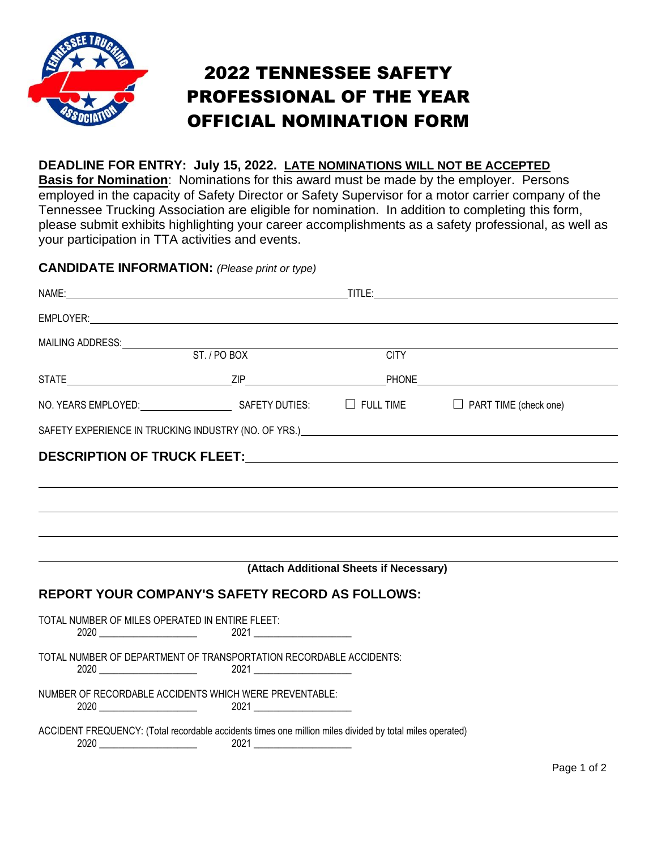

# 2022 TENNESSEE SAFETY PROFESSIONAL OF THE YEAR OFFICIAL NOMINATION FORM

#### **DEADLINE FOR ENTRY: July 15, 2022. LATE NOMINATIONS WILL NOT BE ACCEPTED**

**Basis for Nomination**: Nominations for this award must be made by the employer. Persons employed in the capacity of Safety Director or Safety Supervisor for a motor carrier company of the Tennessee Trucking Association are eligible for nomination. In addition to completing this form, please submit exhibits highlighting your career accomplishments as a safety professional, as well as your participation in TTA activities and events.

#### **CANDIDATE INFORMATION:** *(Please print or type)*

|                                                 |                                                                                                                                                                                                                                | <b>CITY</b>                             |  |
|-------------------------------------------------|--------------------------------------------------------------------------------------------------------------------------------------------------------------------------------------------------------------------------------|-----------------------------------------|--|
|                                                 |                                                                                                                                                                                                                                |                                         |  |
|                                                 | NO. YEARS EMPLOYED: SAFETY DUTIES: □ FULL TIME □ PART TIME (check one)                                                                                                                                                         |                                         |  |
|                                                 | SAFETY EXPERIENCE IN TRUCKING INDUSTRY (NO. OF YRS.) A CONTROL CONTROL CONTROL CONTROL CONTROL CONTROL CONTROL CONTROL CONTROL CONTROL CONTROL CONTROL CONTROL CONTROL CONTROL CONTROL CONTROL CONTROL CONTROL CONTROL CONTROL |                                         |  |
|                                                 |                                                                                                                                                                                                                                |                                         |  |
|                                                 |                                                                                                                                                                                                                                |                                         |  |
|                                                 |                                                                                                                                                                                                                                |                                         |  |
|                                                 |                                                                                                                                                                                                                                |                                         |  |
|                                                 |                                                                                                                                                                                                                                |                                         |  |
|                                                 |                                                                                                                                                                                                                                |                                         |  |
|                                                 |                                                                                                                                                                                                                                | (Attach Additional Sheets if Necessary) |  |
|                                                 | <b>REPORT YOUR COMPANY'S SAFETY RECORD AS FOLLOWS:</b>                                                                                                                                                                         |                                         |  |
| TOTAL NUMBER OF MILES OPERATED IN ENTIRE FLEET: |                                                                                                                                                                                                                                |                                         |  |
|                                                 |                                                                                                                                                                                                                                |                                         |  |
|                                                 | TOTAL NUMBER OF DEPARTMENT OF TRANSPORTATION RECORDABLE ACCIDENTS:                                                                                                                                                             |                                         |  |
|                                                 |                                                                                                                                                                                                                                |                                         |  |
|                                                 | NUMBER OF RECORDABLE ACCIDENTS WHICH WERE PREVENTABLE:                                                                                                                                                                         |                                         |  |
|                                                 | ACCIDENT FREQUENCY: (Total recordable accidents times one million miles divided by total miles operated)                                                                                                                       |                                         |  |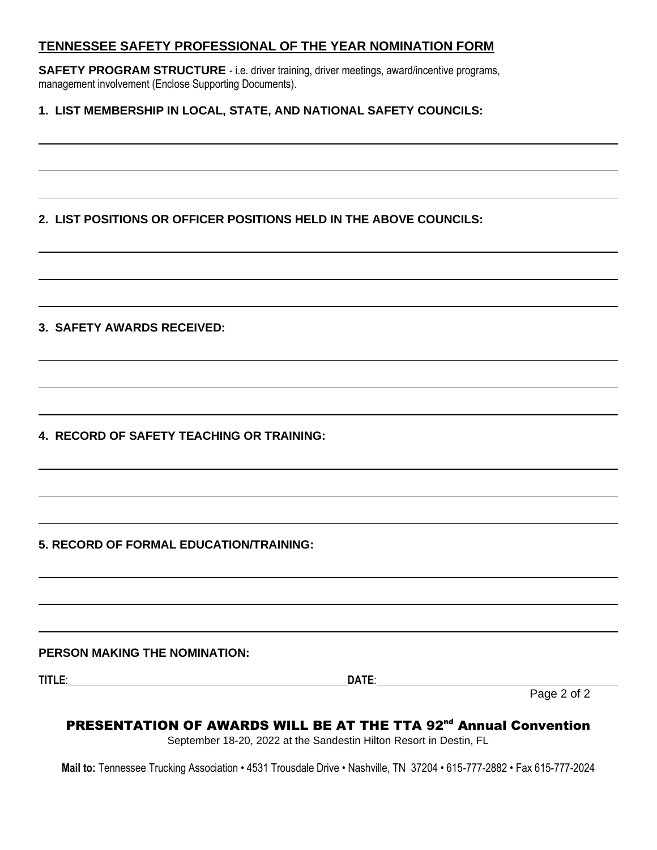#### **TENNESSEE SAFETY PROFESSIONAL OF THE YEAR NOMINATION FORM**

**SAFETY PROGRAM STRUCTURE** - i.e. driver training, driver meetings, award/incentive programs, management involvement (Enclose Supporting Documents).

#### **1. LIST MEMBERSHIP IN LOCAL, STATE, AND NATIONAL SAFETY COUNCILS:**

### **2. LIST POSITIONS OR OFFICER POSITIONS HELD IN THE ABOVE COUNCILS:**

#### **3. SAFETY AWARDS RECEIVED:**

**4. RECORD OF SAFETY TEACHING OR TRAINING:**

**5. RECORD OF FORMAL EDUCATION/TRAINING:**

#### **PERSON MAKING THE NOMINATION:**

**TITLE**: **DATE**:

Page 2 of 2

### PRESENTATION OF AWARDS WILL BE AT THE TTA 92<sup>nd</sup> Annual Convention

September 18-20, 2022 at the Sandestin Hilton Resort in Destin, FL

**Mail to:** Tennessee Trucking Association • 4531 Trousdale Drive • Nashville, TN 37204 • 615-777-2882 • Fax 615-777-2024